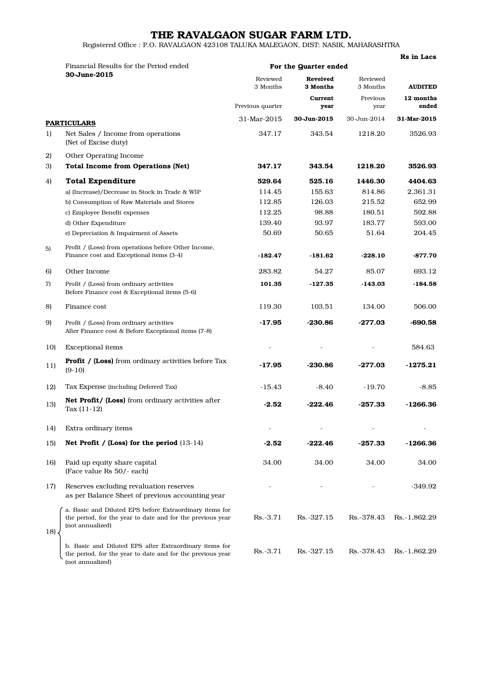## THE RAVALGAON SUGAR FARM LTD.

Registered Office : P.O. RAVALGAON 423108 TALUKA MALEGAON, DIST: NASIK, MAHARASHTRA

|     | Rs in Lacs                                                                                                                                |                       |                             |                      |                    |  |
|-----|-------------------------------------------------------------------------------------------------------------------------------------------|-----------------------|-----------------------------|----------------------|--------------------|--|
|     | Financial Results for the Period ended<br>30-June-2015                                                                                    | For the Quarter ended |                             |                      |                    |  |
|     |                                                                                                                                           | Reviewed<br>3 Months  | <b>Reveived</b><br>3 Months | Reviewed<br>3 Months | <b>AUDITED</b>     |  |
|     |                                                                                                                                           | Previous quarter      | Current<br>year             | Previous<br>year     | 12 months<br>ended |  |
|     | <b>PARTICULARS</b>                                                                                                                        | 31-Mar-2015           | 30-Jun-2015                 | 30-Jun-2014          | 31-Mar-2015        |  |
| 1)  | Net Sales / Income from operations<br>(Net of Excise duty)                                                                                | 347.17                | 343.54                      | 1218.20              | 3526.93            |  |
| 2)  | Other Operating Income                                                                                                                    |                       |                             |                      |                    |  |
| 3)  | <b>Total Income from Operations (Net)</b>                                                                                                 | 347.17                | 343.54                      | 1218.20              | 3526.93            |  |
| 4)  | <b>Total Expenditure</b>                                                                                                                  | 529.64                | 525.16                      | 1446.30              | 4404.63            |  |
|     | a) (Increase)/Decrease in Stock in Trade & WIP                                                                                            | 114.45                | 155.63                      | 814.86               | 2,361.31           |  |
|     | b) Consumption of Raw Materials and Stores                                                                                                | 112.85                | 126.03                      | 215.52               | 652.99             |  |
|     | c) Employee Benefit expenses                                                                                                              | 112.25                | 98.88                       | 180.51               | 592.88             |  |
|     | d) Other Expenditure                                                                                                                      | 139.40                | 93.97                       | 183.77               | 593.00             |  |
|     | e) Depreciation & Impairment of Assets                                                                                                    | 50.69                 | 50.65                       | 51.64                | 204.45             |  |
| 5)  | Profit / (Loss) from operations before Other Income,<br>Finance cost and Exceptional items (3-4)                                          | $-182.47$             | -181.62                     | $-228.10$            | $-877.70$          |  |
| 6)  | Other Income                                                                                                                              | 283.82                | 54.27                       | 85.07                | 693.12             |  |
| 7)  | Profit / (Loss) from ordinary activities<br>Before Finance cost & Exceptional items (5-6)                                                 | 101.35                | $-127.35$                   | $-143.03$            | $-184.58$          |  |
| 8)  | Finance cost                                                                                                                              | 119.30                | 103.51                      | 134.00               | 506.00             |  |
| 9)  | Profit / (Loss) from ordinary activities<br>After Finance cost & Before Exceptional items (7-8)                                           | -17.95                | $-230.86$                   | $-277.03$            | $-690.58$          |  |
| 10) | <b>Exceptional</b> items                                                                                                                  |                       |                             |                      | 584.63             |  |
| 11) | <b>Profit / (Loss)</b> from ordinary activities before Tax<br>$(9-10)$                                                                    | $-17.95$              | $-230.86$                   | $-277.03$            | $-1275.21$         |  |
| 12) | Tax Expense (including Deferred Tax)                                                                                                      | $-15.43$              | $-8.40$                     | $-19.70$             | $-8.85$            |  |
| 13) | Net Profit/ (Loss) from ordinary activities after<br>Tax $(11-12)$                                                                        | $-2.52$               | -222.46                     | -257.33              | -1266.36           |  |
| 14) | Extra ordinary items                                                                                                                      |                       |                             |                      |                    |  |
| 15) | Net Profit / (Loss) for the period $(13-14)$                                                                                              | -2.52                 | -222.46                     | -257.33              | -1266.36           |  |
| 16) | Paid up equity share capital<br>(Face value Rs 50/- each)                                                                                 | 34.00                 | 34.00                       | 34.00                | 34.00              |  |
| 17) | Reserves excluding revaluation reserves<br>as per Balance Sheet of previous accounting year                                               |                       |                             |                      | -349.92            |  |
| 18) | a. Basic and Diluted EPS before Extraordinary items for<br>the period, for the year to date and for the previous year<br>(not annualized) | $Rs.-3.71$            | Rs.-327.15                  | Rs.-378.43           | Rs.-1,862.29       |  |
|     | b. Basic and Diluted EPS after Extraordinary items for<br>the period, for the year to date and for the previous year<br>(not annualized)  | $Rs.-3.71$            | Rs.-327.15                  | Rs.-378.43           | Rs.-1,862.29       |  |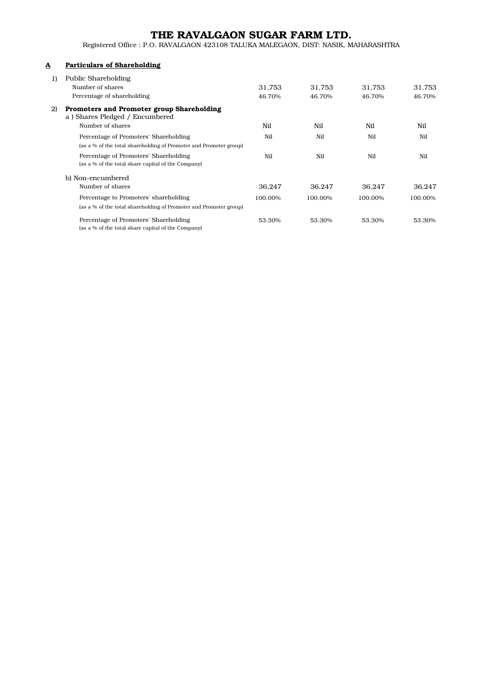## THE RAVALGAON SUGAR FARM LTD.

Registered Office : P.O. RAVALGAON 423108 TALUKA MALEGAON, DIST: NASIK, MAHARASHTRA

## A Particulars of Shareholding

| 1) | Public Shareholding                                                         |         |         |         |         |
|----|-----------------------------------------------------------------------------|---------|---------|---------|---------|
|    | Number of shares                                                            | 31,753  | 31.753  | 31,753  | 31,753  |
|    | Percentage of shareholding                                                  | 46.70%  | 46.70%  | 46.70%  | 46.70%  |
| 2) | Promoters and Promoter group Shareholding<br>a) Shares Pledged / Encumbered |         |         |         |         |
|    | Number of shares                                                            | Nil     | Nil     | Nil     | Nil     |
|    | Percentage of Promoters' Shareholding                                       | Nil     | Nil     | Nil     | Nil     |
|    | (as a % of the total shareholding of Promoter and Promoter group)           |         |         |         |         |
|    | Percentage of Promoters' Shareholding                                       | Nil     | Nil     | Nil     | Nil     |
|    | (as a % of the total share capital of the Company)                          |         |         |         |         |
|    | b) Non-encumbered                                                           |         |         |         |         |
|    | Number of shares                                                            | 36.247  | 36.247  | 36.247  | 36.247  |
|    | Percentage to Promoters' shareholding                                       | 100.00% | 100.00% | 100.00% | 100.00% |
|    | (as a % of the total shareholding of Promoter and Promoter group)           |         |         |         |         |
|    | Percentage of Promoters' Shareholding                                       | 53.30%  | 53.30%  | 53.30%  | 53.30%  |
|    | (as a % of the total share capital of the Company)                          |         |         |         |         |